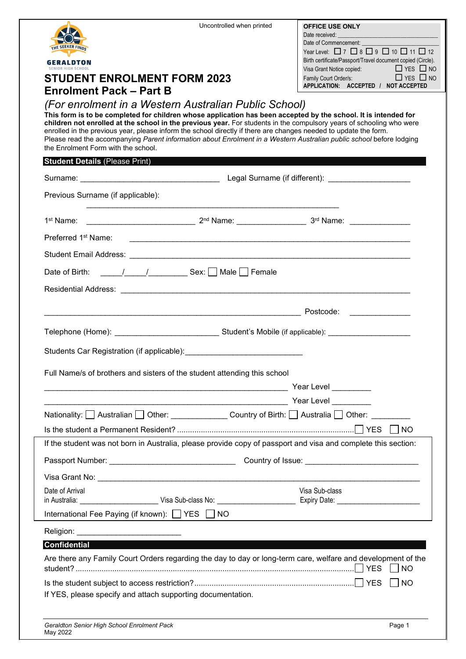|                                                                                                                                                                                                                                                                                                                                                                                                                                                                                                                            | Uncontrolled when printed | <b>OFFICE USE ONLY</b><br>Date received:<br>Date of Commencement: National Commencement:                                            |
|----------------------------------------------------------------------------------------------------------------------------------------------------------------------------------------------------------------------------------------------------------------------------------------------------------------------------------------------------------------------------------------------------------------------------------------------------------------------------------------------------------------------------|---------------------------|-------------------------------------------------------------------------------------------------------------------------------------|
| THE SEEKER FINDS                                                                                                                                                                                                                                                                                                                                                                                                                                                                                                           |                           | Year Level: $\Box$ 7 $\Box$ 8 $\Box$ 9 $\Box$ 10 $\Box$ 11 $\Box$ 12<br>Birth certificate/Passport/Travel document copied (Circle). |
| <b>GERALDTON</b>                                                                                                                                                                                                                                                                                                                                                                                                                                                                                                           |                           | Visa Grant Notice copied:<br><u> </u> YES NO                                                                                        |
| <b>STUDENT ENROLMENT FORM 2023</b><br><b>Enrolment Pack – Part B</b>                                                                                                                                                                                                                                                                                                                                                                                                                                                       |                           | Family Court Order/s:<br>$\Box$ YES $\Box$ NO<br>APPLICATION: ACCEPTED / NOT ACCEPTED                                               |
| (For enrolment in a Western Australian Public School)                                                                                                                                                                                                                                                                                                                                                                                                                                                                      |                           |                                                                                                                                     |
| This form is to be completed for children whose application has been accepted by the school. It is intended for<br>children not enrolled at the school in the previous year. For students in the compulsory years of schooling who were<br>enrolled in the previous year, please inform the school directly if there are changes needed to update the form.<br>Please read the accompanying Parent information about Enrolment in a Western Australian public school before lodging<br>the Enrolment Form with the school. |                           |                                                                                                                                     |
| <b>Student Details (Please Print)</b>                                                                                                                                                                                                                                                                                                                                                                                                                                                                                      |                           |                                                                                                                                     |
| Surname: Contract Contract Contract Contract Contract Contract Contract Contract Contract Contract Contract Co                                                                                                                                                                                                                                                                                                                                                                                                             |                           |                                                                                                                                     |
| Previous Surname (if applicable):                                                                                                                                                                                                                                                                                                                                                                                                                                                                                          |                           |                                                                                                                                     |
|                                                                                                                                                                                                                                                                                                                                                                                                                                                                                                                            |                           |                                                                                                                                     |
| Preferred 1 <sup>st</sup> Name:                                                                                                                                                                                                                                                                                                                                                                                                                                                                                            |                           |                                                                                                                                     |
|                                                                                                                                                                                                                                                                                                                                                                                                                                                                                                                            |                           |                                                                                                                                     |
|                                                                                                                                                                                                                                                                                                                                                                                                                                                                                                                            |                           |                                                                                                                                     |
|                                                                                                                                                                                                                                                                                                                                                                                                                                                                                                                            |                           |                                                                                                                                     |
|                                                                                                                                                                                                                                                                                                                                                                                                                                                                                                                            |                           |                                                                                                                                     |
|                                                                                                                                                                                                                                                                                                                                                                                                                                                                                                                            |                           |                                                                                                                                     |
| Telephone (Home): ___________________________________Student's Mobile (if applicable): ___________________                                                                                                                                                                                                                                                                                                                                                                                                                 |                           |                                                                                                                                     |
|                                                                                                                                                                                                                                                                                                                                                                                                                                                                                                                            |                           |                                                                                                                                     |
| Full Name/s of brothers and sisters of the student attending this school                                                                                                                                                                                                                                                                                                                                                                                                                                                   |                           |                                                                                                                                     |
|                                                                                                                                                                                                                                                                                                                                                                                                                                                                                                                            |                           |                                                                                                                                     |
|                                                                                                                                                                                                                                                                                                                                                                                                                                                                                                                            |                           |                                                                                                                                     |
| Nationality: △ Australian △ Other: Country of Birth: △ Australia △ Other: △                                                                                                                                                                                                                                                                                                                                                                                                                                                |                           |                                                                                                                                     |
|                                                                                                                                                                                                                                                                                                                                                                                                                                                                                                                            |                           | $\vert$ $\vert$ NO                                                                                                                  |
| If the student was not born in Australia, please provide copy of passport and visa and complete this section:                                                                                                                                                                                                                                                                                                                                                                                                              |                           |                                                                                                                                     |
|                                                                                                                                                                                                                                                                                                                                                                                                                                                                                                                            |                           |                                                                                                                                     |
|                                                                                                                                                                                                                                                                                                                                                                                                                                                                                                                            |                           |                                                                                                                                     |
| Date of Arrival                                                                                                                                                                                                                                                                                                                                                                                                                                                                                                            |                           | Visa Sub-class                                                                                                                      |
| International Fee Paying (if known): $\Box$ YES $\Box$ NO                                                                                                                                                                                                                                                                                                                                                                                                                                                                  |                           |                                                                                                                                     |
| Religion: New York Changes and Changes and Changes and Changes and Changes and Changes and Changes and Changes                                                                                                                                                                                                                                                                                                                                                                                                             |                           |                                                                                                                                     |
| <b>Confidential</b>                                                                                                                                                                                                                                                                                                                                                                                                                                                                                                        |                           |                                                                                                                                     |
| Are there any Family Court Orders regarding the day to day or long-term care, welfare and development of the                                                                                                                                                                                                                                                                                                                                                                                                               |                           |                                                                                                                                     |
|                                                                                                                                                                                                                                                                                                                                                                                                                                                                                                                            |                           | $\vert$ $\vert$ NO                                                                                                                  |
| If YES, please specify and attach supporting documentation.                                                                                                                                                                                                                                                                                                                                                                                                                                                                |                           |                                                                                                                                     |
|                                                                                                                                                                                                                                                                                                                                                                                                                                                                                                                            |                           |                                                                                                                                     |
| Geraldton Senior High School Enrolment Pack<br>May 2022                                                                                                                                                                                                                                                                                                                                                                                                                                                                    |                           | Page 1                                                                                                                              |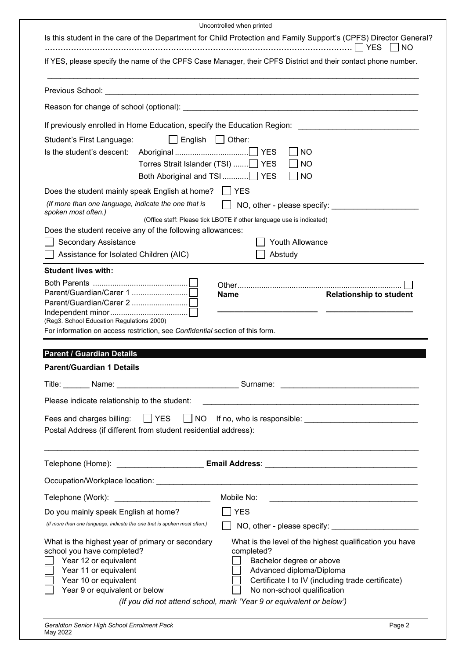| Uncontrolled when printed<br>Is this student in the care of the Department for Child Protection and Family Support's (CPFS) Director General?<br><b>NO</b>                                                                                                                                  |  |  |
|---------------------------------------------------------------------------------------------------------------------------------------------------------------------------------------------------------------------------------------------------------------------------------------------|--|--|
| If YES, please specify the name of the CPFS Case Manager, their CPFS District and their contact phone number.                                                                                                                                                                               |  |  |
| Previous School:                                                                                                                                                                                                                                                                            |  |  |
|                                                                                                                                                                                                                                                                                             |  |  |
| If previously enrolled in Home Education, specify the Education Region:                                                                                                                                                                                                                     |  |  |
| English<br>Other:<br>Student's First Language:                                                                                                                                                                                                                                              |  |  |
| Is the student's descent:<br><b>YES</b><br><b>NO</b>                                                                                                                                                                                                                                        |  |  |
| Torres Strait Islander (TSI)<br><b>YES</b><br><b>NO</b>                                                                                                                                                                                                                                     |  |  |
| Both Aboriginal and TSI<br><b>YES</b><br><b>NO</b>                                                                                                                                                                                                                                          |  |  |
| $\Box$ YES<br>Does the student mainly speak English at home?                                                                                                                                                                                                                                |  |  |
| (If more than one language, indicate the one that is<br>NO, other - please specify:<br>spoken most often.)                                                                                                                                                                                  |  |  |
| (Office staff: Please tick LBOTE if other language use is indicated)                                                                                                                                                                                                                        |  |  |
| Does the student receive any of the following allowances:                                                                                                                                                                                                                                   |  |  |
| Youth Allowance<br><b>Secondary Assistance</b>                                                                                                                                                                                                                                              |  |  |
| Assistance for Isolated Children (AIC)<br>Abstudy                                                                                                                                                                                                                                           |  |  |
| <b>Student lives with:</b>                                                                                                                                                                                                                                                                  |  |  |
| <b>Name</b>                                                                                                                                                                                                                                                                                 |  |  |
| <b>Relationship to student</b>                                                                                                                                                                                                                                                              |  |  |
|                                                                                                                                                                                                                                                                                             |  |  |
| (Reg3. School Education Regulations 2000)<br>For information on access restriction, see Confidential section of this form.                                                                                                                                                                  |  |  |
|                                                                                                                                                                                                                                                                                             |  |  |
| <b>Parent / Guardian Details</b>                                                                                                                                                                                                                                                            |  |  |
| <b>Parent/Guardian 1 Details</b>                                                                                                                                                                                                                                                            |  |  |
|                                                                                                                                                                                                                                                                                             |  |  |
| Please indicate relationship to the student:                                                                                                                                                                                                                                                |  |  |
| Fees and charges billing: □ YES □ NO If no, who is responsible: □ □ □ □ □ □ □ □ □ □ □ □ □ □                                                                                                                                                                                                 |  |  |
| Postal Address (if different from student residential address):                                                                                                                                                                                                                             |  |  |
|                                                                                                                                                                                                                                                                                             |  |  |
|                                                                                                                                                                                                                                                                                             |  |  |
|                                                                                                                                                                                                                                                                                             |  |  |
|                                                                                                                                                                                                                                                                                             |  |  |
| Telephone (Work): __________________________<br>Mobile No:<br>the control of the control of the control of the control of the control of the control of the control of the control of the control of the control of the control of the control of the control of the control of the control |  |  |
| <b>YES</b><br>Do you mainly speak English at home?                                                                                                                                                                                                                                          |  |  |
| (If more than one language, indicate the one that is spoken most often.)                                                                                                                                                                                                                    |  |  |
| What is the highest year of primary or secondary<br>What is the level of the highest qualification you have                                                                                                                                                                                 |  |  |
|                                                                                                                                                                                                                                                                                             |  |  |
| school you have completed?<br>completed?                                                                                                                                                                                                                                                    |  |  |
| Year 12 or equivalent<br>Bachelor degree or above                                                                                                                                                                                                                                           |  |  |
| Year 11 or equivalent<br>Advanced diploma/Diploma<br>Certificate I to IV (including trade certificate)<br>Year 10 or equivalent                                                                                                                                                             |  |  |
| Year 9 or equivalent or below<br>No non-school qualification<br>(If you did not attend school, mark 'Year 9 or equivalent or below')                                                                                                                                                        |  |  |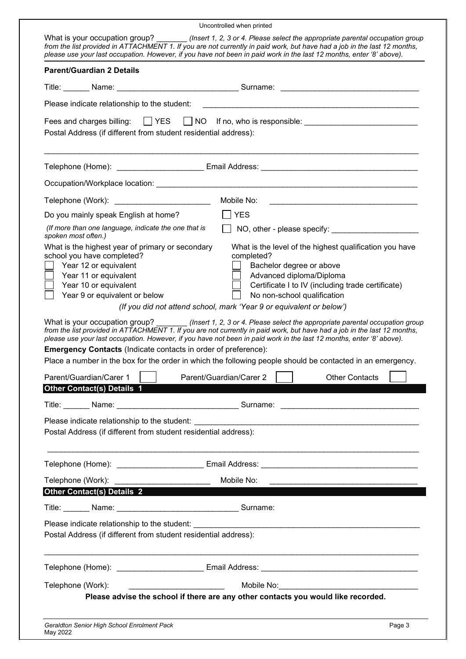| Uncontrolled when printed                                                                                                                                                                                                                                                                                                                                                                                                                                                                                                                                                                                                                                                                                                                                                                                                                                                                                                                                                      |                                                                                                                                                                                                                                               |
|--------------------------------------------------------------------------------------------------------------------------------------------------------------------------------------------------------------------------------------------------------------------------------------------------------------------------------------------------------------------------------------------------------------------------------------------------------------------------------------------------------------------------------------------------------------------------------------------------------------------------------------------------------------------------------------------------------------------------------------------------------------------------------------------------------------------------------------------------------------------------------------------------------------------------------------------------------------------------------|-----------------------------------------------------------------------------------------------------------------------------------------------------------------------------------------------------------------------------------------------|
| What is your occupation group? _________(Insert 1, 2, 3 or 4. Please select the appropriate parental occupation group<br>from the list provided in ATTACHMENT 1. If you are not currently in paid work, but have had a job in the last 12 months,<br>please use your last occupation. However, if you have not been in paid work in the last 12 months, enter '8' above).                                                                                                                                                                                                                                                                                                                                                                                                                                                                                                                                                                                                      |                                                                                                                                                                                                                                               |
| <b>Parent/Guardian 2 Details</b>                                                                                                                                                                                                                                                                                                                                                                                                                                                                                                                                                                                                                                                                                                                                                                                                                                                                                                                                               |                                                                                                                                                                                                                                               |
|                                                                                                                                                                                                                                                                                                                                                                                                                                                                                                                                                                                                                                                                                                                                                                                                                                                                                                                                                                                |                                                                                                                                                                                                                                               |
| Please indicate relationship to the student:                                                                                                                                                                                                                                                                                                                                                                                                                                                                                                                                                                                                                                                                                                                                                                                                                                                                                                                                   |                                                                                                                                                                                                                                               |
| Fees and charges billing: $\Box$ YES $\Box$ NO If no, who is responsible: _____________________________<br>Postal Address (if different from student residential address):                                                                                                                                                                                                                                                                                                                                                                                                                                                                                                                                                                                                                                                                                                                                                                                                     |                                                                                                                                                                                                                                               |
|                                                                                                                                                                                                                                                                                                                                                                                                                                                                                                                                                                                                                                                                                                                                                                                                                                                                                                                                                                                |                                                                                                                                                                                                                                               |
|                                                                                                                                                                                                                                                                                                                                                                                                                                                                                                                                                                                                                                                                                                                                                                                                                                                                                                                                                                                |                                                                                                                                                                                                                                               |
| Telephone (Work): _________________________<br>Mobile No:                                                                                                                                                                                                                                                                                                                                                                                                                                                                                                                                                                                                                                                                                                                                                                                                                                                                                                                      |                                                                                                                                                                                                                                               |
| Do you mainly speak English at home?                                                                                                                                                                                                                                                                                                                                                                                                                                                                                                                                                                                                                                                                                                                                                                                                                                                                                                                                           |                                                                                                                                                                                                                                               |
| (If more than one language, indicate the one that is<br>spoken most often.)                                                                                                                                                                                                                                                                                                                                                                                                                                                                                                                                                                                                                                                                                                                                                                                                                                                                                                    |                                                                                                                                                                                                                                               |
| What is the highest year of primary or secondary<br>school you have completed?<br>completed?<br>Year 12 or equivalent<br>Year 11 or equivalent<br>Year 10 or equivalent<br>Year 9 or equivalent or below<br>(If you did not attend school, mark 'Year 9 or equivalent or below')<br>What is your occupation group? (Insert 1, 2, 3 or 4. Please select the appropriate parental occupation group<br>from the list provided in ATTACHMENT 1. If you are not currently in paid work, but have had a job in the last 12 months,<br>please use your last occupation. However, if you have not been in paid work in the last 12 months, enter '8' above).<br><b>Emergency Contacts (Indicate contacts in order of preference):</b><br>Place a number in the box for the order in which the following people should be contacted in an emergency.<br>Parent/Guardian/Carer 1<br><b>Other Contact(s) Details 1</b><br>Postal Address (if different from student residential address): | What is the level of the highest qualification you have<br>Bachelor degree or above<br>Advanced diploma/Diploma<br>Certificate I to IV (including trade certificate)<br>No non-school qualification<br>Parent/Guardian/Carer 2 Diner Contacts |
|                                                                                                                                                                                                                                                                                                                                                                                                                                                                                                                                                                                                                                                                                                                                                                                                                                                                                                                                                                                |                                                                                                                                                                                                                                               |
| Mobile No:<br>Telephone (Work): Telephone (Work):                                                                                                                                                                                                                                                                                                                                                                                                                                                                                                                                                                                                                                                                                                                                                                                                                                                                                                                              |                                                                                                                                                                                                                                               |
| <b>Other Contact(s) Details 2</b>                                                                                                                                                                                                                                                                                                                                                                                                                                                                                                                                                                                                                                                                                                                                                                                                                                                                                                                                              |                                                                                                                                                                                                                                               |
| Title: Name: Name: Name: Name: Name: Name: Name: Name: Name: Name: Name: Name: Name: Name: Name: Name: Name: N                                                                                                                                                                                                                                                                                                                                                                                                                                                                                                                                                                                                                                                                                                                                                                                                                                                                 |                                                                                                                                                                                                                                               |
| Postal Address (if different from student residential address):                                                                                                                                                                                                                                                                                                                                                                                                                                                                                                                                                                                                                                                                                                                                                                                                                                                                                                                |                                                                                                                                                                                                                                               |
|                                                                                                                                                                                                                                                                                                                                                                                                                                                                                                                                                                                                                                                                                                                                                                                                                                                                                                                                                                                |                                                                                                                                                                                                                                               |
| Telephone (Work):                                                                                                                                                                                                                                                                                                                                                                                                                                                                                                                                                                                                                                                                                                                                                                                                                                                                                                                                                              |                                                                                                                                                                                                                                               |
| Please advise the school if there are any other contacts you would like recorded.                                                                                                                                                                                                                                                                                                                                                                                                                                                                                                                                                                                                                                                                                                                                                                                                                                                                                              |                                                                                                                                                                                                                                               |
| Geraldton Senior High School Enrolment Pack<br>May 2022                                                                                                                                                                                                                                                                                                                                                                                                                                                                                                                                                                                                                                                                                                                                                                                                                                                                                                                        | Page 3                                                                                                                                                                                                                                        |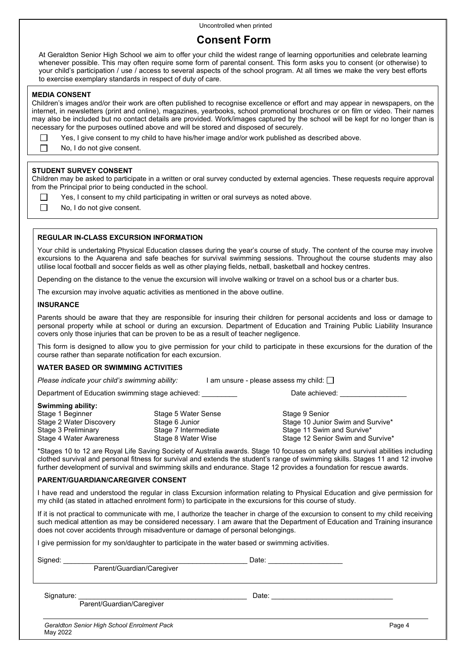# **Consent Form**

At Geraldton Senior High School we aim to offer your child the widest range of learning opportunities and celebrate learning whenever possible. This may often require some form of parental consent. This form asks you to consent (or otherwise) to your child's participation / use / access to several aspects of the school program. At all times we make the very best efforts to exercise exemplary standards in respect of duty of care.

### **MEDIA CONSENT**

П  $\Box$ 

 $\Box$ 

Children's images and/or their work are often published to recognise excellence or effort and may appear in newspapers, on the internet, in newsletters (print and online), magazines, yearbooks, school promotional brochures or on film or video. Their names may also be included but no contact details are provided. Work/images captured by the school will be kept for no longer than is necessary for the purposes outlined above and will be stored and disposed of securely.

|  | Yes, I give consent to my child to have his/her image and/or work published as described above. |  |  |
|--|-------------------------------------------------------------------------------------------------|--|--|
|  |                                                                                                 |  |  |

No, I do not give consent.

### **STUDENT SURVEY CONSENT**

Children may be asked to participate in a written or oral survey conducted by external agencies. These requests require approval from the Principal prior to being conducted in the school.

- Yes, I consent to my child participating in written or oral surveys as noted above.
- 

No, I do not give consent.

### **REGULAR IN-CLASS EXCURSION INFORMATION**

Your child is undertaking Physical Education classes during the year's course of study. The content of the course may involve excursions to the Aquarena and safe beaches for survival swimming sessions. Throughout the course students may also utilise local football and soccer fields as well as other playing fields, netball, basketball and hockey centres.

Depending on the distance to the venue the excursion will involve walking or travel on a school bus or a charter bus.

The excursion may involve aquatic activities as mentioned in the above outline.

### **INSURANCE**

Parents should be aware that they are responsible for insuring their children for personal accidents and loss or damage to personal property while at school or during an excursion. Department of Education and Training Public Liability Insurance covers only those injuries that can be proven to be as a result of teacher negligence.

This form is designed to allow you to give permission for your child to participate in these excursions for the duration of the course rather than separate notification for each excursion.

### **WATER BASED OR SWIMMING ACTIVITIES**

| Please indicate your child's swimming ability: | $\Box$ am unsure - please assess my child: $\Box$ |
|------------------------------------------------|---------------------------------------------------|
|------------------------------------------------|---------------------------------------------------|

Department of Education swimming stage achieved: example achieved: Date achieved:

### **Swimming ability:**

| Stage 1 Beginner        | Stage 5 Water S  |
|-------------------------|------------------|
| Stage 2 Water Discovery | Stage 6 Junior   |
| Stage 3 Preliminary     | Stage 7 Intermed |
| Stage 4 Water Awareness | Stage 8 Water W  |
|                         |                  |

ense 1 Beginner Stage 9 Senior Stage 10 Junior Swim and Survive\* Stage 11 Swim and Survive\* Vise **Awareness Stage 12 Senior Swim and Survive**\*

\*Stages 10 to 12 are Royal Life Saving Society of Australia awards. Stage 10 focuses on safety and survival abilities including clothed survival and personal fitness for survival and extends the student's range of swimming skills. Stages 11 and 12 involve further development of survival and swimming skills and endurance. Stage 12 provides a foundation for rescue awards.

#### **PARENT/GUARDIAN/CAREGIVER CONSENT**

I have read and understood the regular in class Excursion information relating to Physical Education and give permission for my child (as stated in attached enrolment form) to participate in the excursions for this course of study.

If it is not practical to communicate with me, I authorize the teacher in charge of the excursion to consent to my child receiving such medical attention as may be considered necessary. I am aware that the Department of Education and Training insurance does not cover accidents through misadventure or damage of personal belongings.

I give permission for my son/daughter to participate in the water based or swimming activities.

| Signed:    | Parent/Guardian/Caregiver                   | Date: |        |
|------------|---------------------------------------------|-------|--------|
| Signature: | Parent/Guardian/Caregiver                   | Date: |        |
|            | Geraldton Senior High School Enrolment Pack |       | Page 4 |

May 2022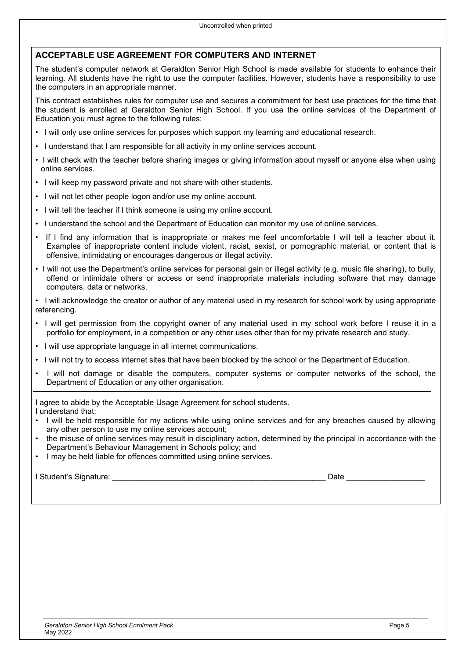# **ACCEPTABLE USE AGREEMENT FOR COMPUTERS AND INTERNET**

The student's computer network at Geraldton Senior High School is made available for students to enhance their learning. All students have the right to use the computer facilities. However, students have a responsibility to use the computers in an appropriate manner.

This contract establishes rules for computer use and secures a commitment for best use practices for the time that the student is enrolled at Geraldton Senior High School. If you use the online services of the Department of Education you must agree to the following rules:

- I will only use online services for purposes which support my learning and educational research.
- I understand that I am responsible for all activity in my online services account.
- I will check with the teacher before sharing images or giving information about myself or anyone else when using online services.
- I will keep my password private and not share with other students.
- I will not let other people logon and/or use my online account.
- I will tell the teacher if I think someone is using my online account.
- I understand the school and the Department of Education can monitor my use of online services.
- If I find any information that is inappropriate or makes me feel uncomfortable I will tell a teacher about it. Examples of inappropriate content include violent, racist, sexist, or pornographic material, or content that is offensive, intimidating or encourages dangerous or illegal activity.
- I will not use the Department's online services for personal gain or illegal activity (e.g. music file sharing), to bully, offend or intimidate others or access or send inappropriate materials including software that may damage computers, data or networks.

• I will acknowledge the creator or author of any material used in my research for school work by using appropriate referencing.

- I will get permission from the copyright owner of any material used in my school work before I reuse it in a portfolio for employment, in a competition or any other uses other than for my private research and study.
- I will use appropriate language in all internet communications.
- I will not try to access internet sites that have been blocked by the school or the Department of Education.
- I will not damage or disable the computers, computer systems or computer networks of the school, the Department of Education or any other organisation.

I agree to abide by the Acceptable Usage Agreement for school students. I understand that:

- I will be held responsible for my actions while using online services and for any breaches caused by allowing any other person to use my online services account;
- the misuse of online services may result in disciplinary action, determined by the principal in accordance with the Department's Behaviour Management in Schools policy; and
- I may be held liable for offences committed using online services.

I Student's Signature: \_\_\_\_\_\_\_\_\_\_\_\_\_\_\_\_\_\_\_\_\_\_\_\_\_\_\_\_\_\_\_\_\_\_\_\_\_\_\_\_\_\_\_\_\_\_\_\_\_ Date \_\_\_\_\_\_\_\_\_\_\_\_\_\_\_\_\_\_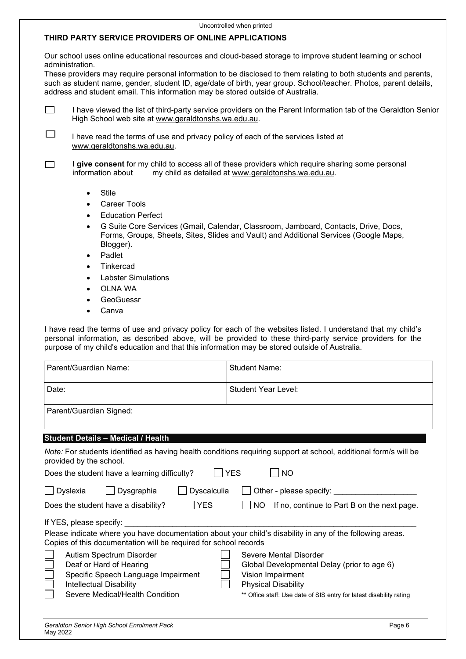### Uncontrolled when printed **THIRD PARTY SERVICE PROVIDERS OF ONLINE APPLICATIONS**

Our school uses online educational resources and cloud-based storage to improve student learning or school administration.

These providers may require personal information to be disclosed to them relating to both students and parents, such as student name, gender, student ID, age/date of birth, year group. School/teacher. Photos, parent details, address and student email. This information may be stored outside of Australia.

| I have viewed the list of third-party service providers on the Parent Information tab of the Geraldton Senior |
|---------------------------------------------------------------------------------------------------------------|
| High School web site at www.geraldtonshs.wa.edu.au.                                                           |

П I have read the terms of use and privacy policy of each of the services listed at [www.geraldtonshs.wa.edu.au.](http://www.geraldtonshs.wa.edu.au/)

**I give consent** for my child to access all of these providers which require sharing some personal information about my child as detailed at www.geraldtonshs.wa.edu.au. П my child as detailed at [www.geraldtonshs.wa.edu.au.](http://www.geraldtonshs.wa.edu.au/)

- **Stile**
- Career Tools
- **Education Perfect**
- G Suite Core Services (Gmail, Calendar, Classroom, Jamboard, Contacts, Drive, Docs, Forms, Groups, Sheets, Sites, Slides and Vault) and Additional Services (Google Maps, Blogger).
- Padlet
- **Tinkercad**
- Labster Simulations
- OLNA WA
- **GeoGuessr**
- **Canva**

I have read the terms of use and privacy policy for each of the websites listed. I understand that my child's personal information, as described above, will be provided to these third-party service providers for the purpose of my child's education and that this information may be stored outside of Australia.

| Parent/Guardian Name:                                                                                                                                                         | <b>Student Name:</b>                                                                                             |
|-------------------------------------------------------------------------------------------------------------------------------------------------------------------------------|------------------------------------------------------------------------------------------------------------------|
| Date:                                                                                                                                                                         | Student Year Level:                                                                                              |
| Parent/Guardian Signed:                                                                                                                                                       |                                                                                                                  |
| <b>Student Details - Medical / Health</b>                                                                                                                                     |                                                                                                                  |
| provided by the school.                                                                                                                                                       | Note: For students identified as having health conditions requiring support at school, additional form/s will be |
| Does the student have a learning difficulty?                                                                                                                                  | <b>YES</b><br><b>NO</b>                                                                                          |
| Dyscalculia<br>Dyslexia<br>Dysgraphia                                                                                                                                         |                                                                                                                  |
| YES<br>Does the student have a disability?                                                                                                                                    | If no, continue to Part B on the next page.<br>NO.                                                               |
| If YES, please specify:                                                                                                                                                       |                                                                                                                  |
| Please indicate where you have documentation about your child's disability in any of the following areas.<br>Copies of this documentation will be required for school records |                                                                                                                  |
| Autism Spectrum Disorder                                                                                                                                                      | Severe Mental Disorder                                                                                           |
| Deaf or Hard of Hearing                                                                                                                                                       | Global Developmental Delay (prior to age 6)                                                                      |
| Specific Speech Language Impairment                                                                                                                                           | Vision Impairment                                                                                                |
| Intellectual Disability<br>Severe Medical/Health Condition                                                                                                                    | <b>Physical Disability</b><br>** Office staff: Use date of SIS entry for latest disability rating                |
|                                                                                                                                                                               |                                                                                                                  |
|                                                                                                                                                                               |                                                                                                                  |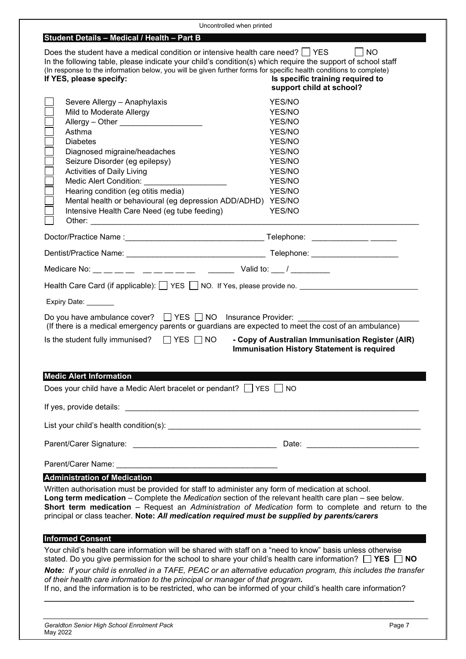| Uncontrolled when printed                                                                                                                                                                                                                                                                                                                                                                                                                                                                                                                          |                                                                                                                             |  |
|----------------------------------------------------------------------------------------------------------------------------------------------------------------------------------------------------------------------------------------------------------------------------------------------------------------------------------------------------------------------------------------------------------------------------------------------------------------------------------------------------------------------------------------------------|-----------------------------------------------------------------------------------------------------------------------------|--|
| Student Details - Medical / Health - Part B                                                                                                                                                                                                                                                                                                                                                                                                                                                                                                        |                                                                                                                             |  |
| Does the student have a medical condition or intensive health care need? $\mid$ YES<br><b>NO</b><br>In the following table, please indicate your child's condition(s) which require the support of school staff<br>(In response to the information below, you will be given further forms for specific health conditions to complete)<br>If YES, please specify:<br>Is specific training required to<br>support child at school?                                                                                                                   |                                                                                                                             |  |
| Severe Allergy - Anaphylaxis<br>Mild to Moderate Allergy<br>Asthma<br><b>Diabetes</b><br>Diagnosed migraine/headaches<br>Seizure Disorder (eg epilepsy)<br>Activities of Daily Living<br><b>Medic Alert Condition:</b><br>Hearing condition (eg otitis media)<br>Mental health or behavioural (eg depression ADD/ADHD)<br>Intensive Health Care Need (eg tube feeding)                                                                                                                                                                             | YES/NO<br>YES/NO<br>YES/NO<br>YES/NO<br>YES/NO<br>YES/NO<br>YES/NO<br>YES/NO<br>YES/NO<br>YES/NO<br><b>YES/NO</b><br>YES/NO |  |
|                                                                                                                                                                                                                                                                                                                                                                                                                                                                                                                                                    |                                                                                                                             |  |
|                                                                                                                                                                                                                                                                                                                                                                                                                                                                                                                                                    |                                                                                                                             |  |
| Medicare No: __ __ __ __ __ __ __ __ __ __ __ Valid to: ___ / _________                                                                                                                                                                                                                                                                                                                                                                                                                                                                            |                                                                                                                             |  |
| Health Care Card (if applicable): $\Box$ YES $\Box$ NO. If Yes, please provide no.                                                                                                                                                                                                                                                                                                                                                                                                                                                                 |                                                                                                                             |  |
|                                                                                                                                                                                                                                                                                                                                                                                                                                                                                                                                                    |                                                                                                                             |  |
| Expiry Date: _______                                                                                                                                                                                                                                                                                                                                                                                                                                                                                                                               |                                                                                                                             |  |
| Do you have ambulance cover? $\Box$ YES $\Box$ NO Insurance Provider:<br>(If there is a medical emergency parents or guardians are expected to meet the cost of an ambulance)                                                                                                                                                                                                                                                                                                                                                                      |                                                                                                                             |  |
| Is the student fully immunised? $\Box$ YES $\Box$ NO                                                                                                                                                                                                                                                                                                                                                                                                                                                                                               | - Copy of Australian Immunisation Register (AIR)<br><b>Immunisation History Statement is required</b>                       |  |
| <b>Medic Alert Information</b>                                                                                                                                                                                                                                                                                                                                                                                                                                                                                                                     |                                                                                                                             |  |
| Does your child have a Medic Alert bracelet or pendant? $\Box$ YES $\Box$ NO                                                                                                                                                                                                                                                                                                                                                                                                                                                                       |                                                                                                                             |  |
|                                                                                                                                                                                                                                                                                                                                                                                                                                                                                                                                                    |                                                                                                                             |  |
|                                                                                                                                                                                                                                                                                                                                                                                                                                                                                                                                                    |                                                                                                                             |  |
|                                                                                                                                                                                                                                                                                                                                                                                                                                                                                                                                                    |                                                                                                                             |  |
|                                                                                                                                                                                                                                                                                                                                                                                                                                                                                                                                                    |                                                                                                                             |  |
| <b>Administration of Medication</b>                                                                                                                                                                                                                                                                                                                                                                                                                                                                                                                |                                                                                                                             |  |
| Written authorisation must be provided for staff to administer any form of medication at school.<br>Long term medication - Complete the Medication section of the relevant health care plan - see below.<br>Short term medication - Request an Administration of Medication form to complete and return to the<br>principal or class teacher. Note: All medication required must be supplied by parents/carers                                                                                                                                     |                                                                                                                             |  |
| <b>Informed Consent</b>                                                                                                                                                                                                                                                                                                                                                                                                                                                                                                                            |                                                                                                                             |  |
| Your child's health care information will be shared with staff on a "need to know" basis unless otherwise<br>stated. Do you give permission for the school to share your child's health care information? $\Box$ YES $\Box$ NO<br>Note: If your child is enrolled in a TAFE, PEAC or an alternative education program, this includes the transfer<br>of their health care information to the principal or manager of that program.<br>If no, and the information is to be restricted, who can be informed of your child's health care information? |                                                                                                                             |  |
|                                                                                                                                                                                                                                                                                                                                                                                                                                                                                                                                                    |                                                                                                                             |  |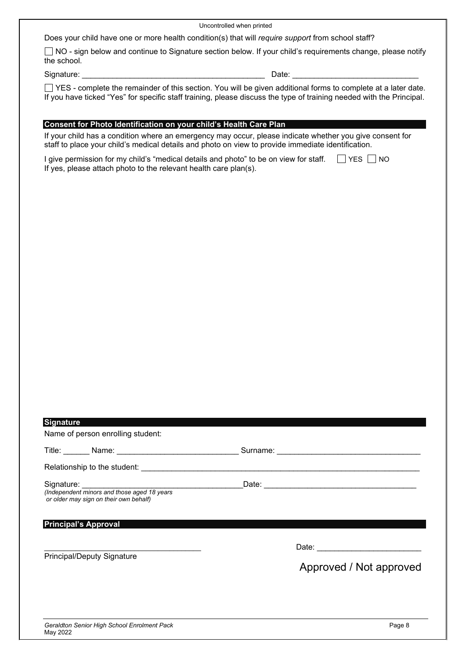Uncontrolled when printed

Does your child have one or more health condition(s) that will *require support* from school staff?

□ NO - sign below and continue to Signature section below. If your child's requirements change, please notify the school.

Signature: \_\_\_\_\_\_\_\_\_\_\_\_\_\_\_\_\_\_\_\_\_\_\_\_\_\_\_\_\_\_\_\_\_\_\_\_\_\_\_\_\_\_ Date: \_\_\_\_\_\_\_\_\_\_\_\_\_\_\_\_\_\_\_\_\_\_\_\_\_\_\_\_\_

YES - complete the remainder of this section. You will be given additional forms to complete at a later date. If you have ticked "Yes" for specific staff training, please discuss the type of training needed with the Principal.

### **Consent for Photo Identification on your child's Health Care Plan**

If your child has a condition where an emergency may occur, please indicate whether you give consent for staff to place your child's medical details and photo on view to provide immediate identification.

| I give permission for my child's "medical details and photo" to be on view for staff. $\Box$ YES $\Box$ NO |  |
|------------------------------------------------------------------------------------------------------------|--|
| If yes, please attach photo to the relevant health care plan(s).                                           |  |

| <b>Signature</b><br>Name of person enrolling student:                                                                                                |                         |
|------------------------------------------------------------------------------------------------------------------------------------------------------|-------------------------|
|                                                                                                                                                      |                         |
|                                                                                                                                                      |                         |
| Signature: <u>containing</u><br>(Independent minors and those aged 18 years<br>or older may sign on their own behalf)<br><b>Principal's Approval</b> |                         |
| <b>Principal/Deputy Signature</b>                                                                                                                    | Approved / Not approved |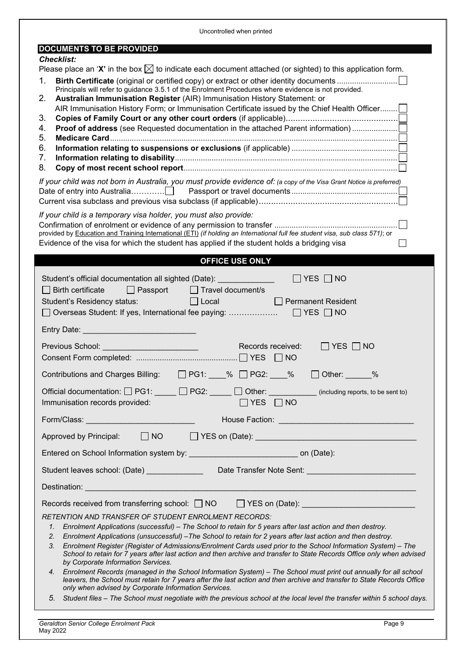| Uncontrolled when printed                                                                                                                                                                                                                                                                                                                                                                                                                                                                                                                                                                                                                                                                                                                                                                                                                                                                                                                                                                                                   |  |  |  |  |  |
|-----------------------------------------------------------------------------------------------------------------------------------------------------------------------------------------------------------------------------------------------------------------------------------------------------------------------------------------------------------------------------------------------------------------------------------------------------------------------------------------------------------------------------------------------------------------------------------------------------------------------------------------------------------------------------------------------------------------------------------------------------------------------------------------------------------------------------------------------------------------------------------------------------------------------------------------------------------------------------------------------------------------------------|--|--|--|--|--|
| <b>DOCUMENTS TO BE PROVIDED</b>                                                                                                                                                                                                                                                                                                                                                                                                                                                                                                                                                                                                                                                                                                                                                                                                                                                                                                                                                                                             |  |  |  |  |  |
| <b>Checklist:</b><br>Please place an 'X' in the box $\boxtimes$ to indicate each document attached (or sighted) to this application form.<br>1.<br>Principals will refer to guidance 3.5.1 of the Enrolment Procedures where evidence is not provided.<br>Australian Immunisation Register (AIR) Immunisation History Statement: or<br>2.<br>AIR Immunisation History Form; or Immunisation Certificate issued by the Chief Health Officer<br>3.<br>4.<br>5.<br>6.<br>7.<br>8.<br>If your child was not born in Australia, you must provide evidence of: (a copy of the Visa Grant Notice is preferred)<br>If your child is a temporary visa holder, you must also provide:<br>provided by Education and Training International (ETI) (if holding an International full fee student visa, sub class 571); or                                                                                                                                                                                                                |  |  |  |  |  |
| Evidence of the visa for which the student has applied if the student holds a bridging visa                                                                                                                                                                                                                                                                                                                                                                                                                                                                                                                                                                                                                                                                                                                                                                                                                                                                                                                                 |  |  |  |  |  |
| <b>OFFICE USE ONLY</b>                                                                                                                                                                                                                                                                                                                                                                                                                                                                                                                                                                                                                                                                                                                                                                                                                                                                                                                                                                                                      |  |  |  |  |  |
| Student's official documentation all sighted (Date):<br>$\Box$ YES $\Box$ NO<br>$\Box$ Birth certificate<br>$\Box$ Passport<br>$\Box$ Travel document/s<br>Student's Residency status:<br>$\Box$ Local<br>$\Box$ Permanent Resident<br>Entry Date: <b>Entry Date:</b>                                                                                                                                                                                                                                                                                                                                                                                                                                                                                                                                                                                                                                                                                                                                                       |  |  |  |  |  |
| Previous School: Network and Changes and Changes and Changes and Changes and Changes and Changes and Changes and Changes and Changes and Changes and Changes and Changes and Changes and Changes and Changes and Changes and C<br>Records received:<br>$\Box$ YES $\Box$ NO                                                                                                                                                                                                                                                                                                                                                                                                                                                                                                                                                                                                                                                                                                                                                 |  |  |  |  |  |
| Contributions and Charges Billing: □ PG1: ___% □ PG2: ___% □ Other: _____%                                                                                                                                                                                                                                                                                                                                                                                                                                                                                                                                                                                                                                                                                                                                                                                                                                                                                                                                                  |  |  |  |  |  |
| Official documentation: $\Box$ PG1: $\Box$ PG2: $\Box$ Other: (including reports, to be sent to)<br>$\Box$ YES $\Box$ NO<br>Immunisation records provided:                                                                                                                                                                                                                                                                                                                                                                                                                                                                                                                                                                                                                                                                                                                                                                                                                                                                  |  |  |  |  |  |
| Form/Class: ________________________________<br>House Faction: Network and Second Contract of the Second Contract of the Second Contract of the Second Contract of the Second Contract of the Second Contract of the Second Contract of the Second Contract of the Second Cont                                                                                                                                                                                                                                                                                                                                                                                                                                                                                                                                                                                                                                                                                                                                              |  |  |  |  |  |
| Approved by Principal:<br>$\Box$ NO $\Box$                                                                                                                                                                                                                                                                                                                                                                                                                                                                                                                                                                                                                                                                                                                                                                                                                                                                                                                                                                                  |  |  |  |  |  |
|                                                                                                                                                                                                                                                                                                                                                                                                                                                                                                                                                                                                                                                                                                                                                                                                                                                                                                                                                                                                                             |  |  |  |  |  |
| Student leaves school: (Date) ____________________Date Transfer Note Sent: _________________________                                                                                                                                                                                                                                                                                                                                                                                                                                                                                                                                                                                                                                                                                                                                                                                                                                                                                                                        |  |  |  |  |  |
| Destination: <u>www.communications.communications.communications.com</u>                                                                                                                                                                                                                                                                                                                                                                                                                                                                                                                                                                                                                                                                                                                                                                                                                                                                                                                                                    |  |  |  |  |  |
| Records received from transferring school: $\Box$ NO $\Box$ YES on (Date): _____________________________<br><b>RETENTION AND TRANSFER OF STUDENT ENROLMENT RECORDS:</b><br>Enrolment Applications (successful) – The School to retain for 5 years after last action and then destroy.<br>$1_{\cdot}$<br>Enrolment Applications (unsuccessful) - The School to retain for 2 years after last action and then destroy.<br>2.<br>Enrolment Register (Register of Admissions/Enrolment Cards used prior to the School Information System) - The<br>3.<br>School to retain for 7 years after last action and then archive and transfer to State Records Office only when advised<br>by Corporate Information Services.<br>4. Enrolment Records (managed in the School Information System) - The School must print out annually for all school<br>leavers, the School must retain for 7 years after the last action and then archive and transfer to State Records Office<br>only when advised by Corporate Information Services. |  |  |  |  |  |
| Student files - The School must negotiate with the previous school at the local level the transfer within 5 school days.<br>5.                                                                                                                                                                                                                                                                                                                                                                                                                                                                                                                                                                                                                                                                                                                                                                                                                                                                                              |  |  |  |  |  |
| <b>Geraldton Senior College Enrolment Pack</b><br>Page 9                                                                                                                                                                                                                                                                                                                                                                                                                                                                                                                                                                                                                                                                                                                                                                                                                                                                                                                                                                    |  |  |  |  |  |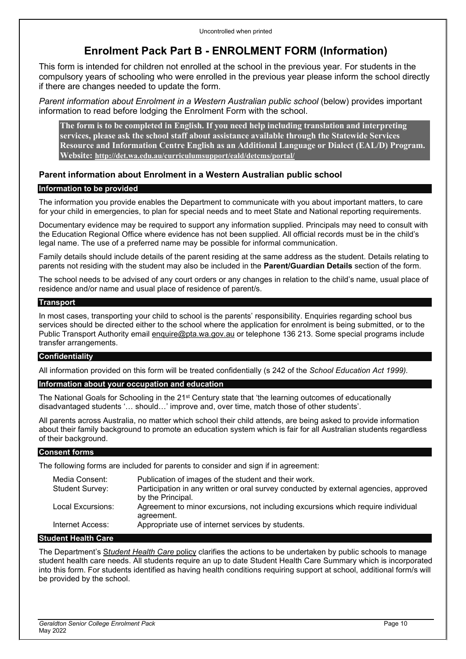# **Enrolment Pack Part B - ENROLMENT FORM (Information)**

This form is intended for children not enrolled at the school in the previous year. For students in the compulsory years of schooling who were enrolled in the previous year please inform the school directly if there are changes needed to update the form.

*Parent information about Enrolment in a Western Australian public school* (below) provides important information to read before lodging the Enrolment Form with the school.

**The form is to be completed in English. If you need help including translation and interpreting services, please ask the school staff about assistance available through the Statewide Services Resource and Information Centre English as an Additional Language or Dialect (EAL/D) Program. Website: <http://det.wa.edu.au/curriculumsupport/eald/detcms/portal/>**

# **Parent information about Enrolment in a Western Australian public school**

## **Information to be provided**

The information you provide enables the Department to communicate with you about important matters, to care for your child in emergencies, to plan for special needs and to meet State and National reporting requirements.

Documentary evidence may be required to support any information supplied. Principals may need to consult with the Education Regional Office where evidence has not been supplied. All official records must be in the child's legal name. The use of a preferred name may be possible for informal communication.

Family details should include details of the parent residing at the same address as the student. Details relating to parents not residing with the student may also be included in the **Parent/Guardian Details** section of the form.

The school needs to be advised of any court orders or any changes in relation to the child's name, usual place of residence and/or name and usual place of residence of parent/s.

## **Transport**

In most cases, transporting your child to school is the parents' responsibility. Enquiries regarding school bus services should be directed either to the school where the application for enrolment is being submitted, or to the Public Transport Authority email [enquire@pta.wa.gov.au](mailto:enquire%40pta.wa.gov.au) or telephone 136 213. Some special programs include transfer arrangements.

### **Confidentiality**

All information provided on this form will be treated confidentially (s 242 of the *School Education Act 1999).*

## **Information about your occupation and education**

The National Goals for Schooling in the 21st Century state that 'the learning outcomes of educationally disadvantaged students '… should…' improve and, over time, match those of other students'.

All parents across Australia, no matter which school their child attends, are being asked to provide information about their family background to promote an education system which is fair for all Australian students regardless of their background.

## **Consent forms**

The following forms are included for parents to consider and sign if in agreement:

| Media Consent:<br>Student Survey: | Publication of images of the student and their work.<br>Participation in any written or oral survey conducted by external agencies, approved<br>by the Principal. |
|-----------------------------------|-------------------------------------------------------------------------------------------------------------------------------------------------------------------|
| Local Excursions:                 | Agreement to minor excursions, not including excursions which require individual<br>agreement.                                                                    |
| Internet Access:                  | Appropriate use of internet services by students.                                                                                                                 |

# **Student Health Care**

The Department's S*[tudent Health Care](http://det.wa.edu.au/policies/detcms/policy-planning-and-accountability/policies-framework/policies/student-health-care.en?oid=au.edu.wa.det.cms.contenttypes.Policy-id-8962874)* policy clarifies the actions to be undertaken by public schools to manage student health care needs. All students require an up to date Student Health Care Summary which is incorporated into this form. For students identified as having health conditions requiring support at school, additional form/s will be provided by the school.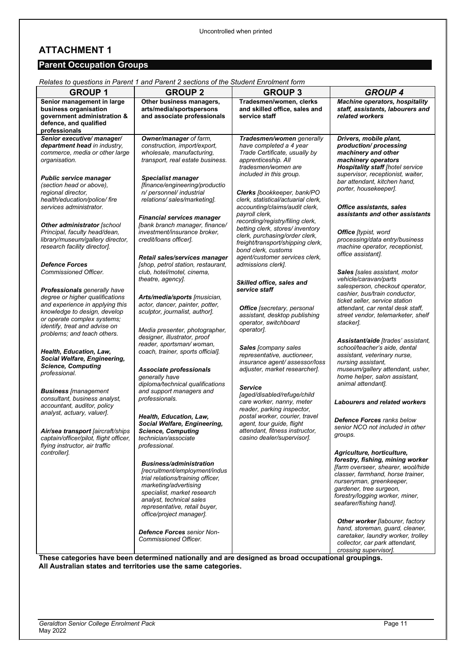# **ATTACHMENT 1**

# **Parent Occupation Groups**

| <b>GROUP 1</b>                                                                                                                                                                                                                           | $R$ relates to questions in Parent T and Parent 2 sections of the Student Emolitient form<br><b>GROUP 2</b>                                                                                                                                           | <b>GROUP 3</b>                                                                                                                                                                      | <b>GROUP 4</b>                                                                                                                                                                                                                                                 |
|------------------------------------------------------------------------------------------------------------------------------------------------------------------------------------------------------------------------------------------|-------------------------------------------------------------------------------------------------------------------------------------------------------------------------------------------------------------------------------------------------------|-------------------------------------------------------------------------------------------------------------------------------------------------------------------------------------|----------------------------------------------------------------------------------------------------------------------------------------------------------------------------------------------------------------------------------------------------------------|
| Senior management in large<br>business organisation<br>government administration &<br>defence, and qualified<br>professionals                                                                                                            | Other business managers,<br>arts/media/sportspersons<br>and associate professionals                                                                                                                                                                   | Tradesmen/women, clerks<br>and skilled office, sales and<br>service staff                                                                                                           | <b>Machine operators, hospitality</b><br>staff, assistants, labourers and<br>related workers                                                                                                                                                                   |
| Senior executive/ manager/<br>department head in industry,<br>commerce, media or other large<br>organisation.                                                                                                                            | Owner/manager of farm,<br>construction, import/export,<br>wholesale, manufacturing,<br>transport, real estate business.                                                                                                                               | Tradesmen/women generally<br>have completed a 4 year<br>Trade Certificate, usually by<br>apprenticeship. All<br>tradesmen/women are                                                 | Drivers, mobile plant,<br>production/processing<br>machinery and other<br>machinery operators<br><b>Hospitality staff [hotel service</b>                                                                                                                       |
| <b>Public service manager</b><br>(section head or above),<br>regional director.<br>health/education/police/fire<br>services administrator.                                                                                               | <b>Specialist manager</b><br>[finance/engineering/productio<br>n/ personnel/ industrial<br>relations/sales/marketing].                                                                                                                                | included in this group.<br>Clerks [bookkeeper, bank/PO<br>clerk, statistical/actuarial clerk,<br>accounting/claims/audit clerk,                                                     | supervisor, receptionist, waiter,<br>bar attendant, kitchen hand,<br>porter, housekeeper].<br><b>Office assistants, sales</b>                                                                                                                                  |
| Other administrator [school<br>Principal, faculty head/dean,<br>library/museum/gallery director,<br>research facility director].                                                                                                         | <b>Financial services manager</b><br>[bank branch manager, finance/<br>investment/insurance broker.<br>credit/loans officer].                                                                                                                         | payroll clerk,<br>recording/registry/filing clerk,<br>betting clerk, stores/inventory<br>clerk, purchasing/order clerk,<br>freight/transport/shipping clerk,<br>bond clerk. customs | assistants and other assistants<br><b>Office</b> [typist, word<br>processing/data entry/business<br>machine operator, receptionist,<br>office assistant].                                                                                                      |
| <b>Defence Forces</b><br><b>Commissioned Officer.</b>                                                                                                                                                                                    | Retail sales/services manager<br>[shop, petrol station, restaurant,<br>club, hotel/motel, cinema,<br>theatre, agency].                                                                                                                                | agent/customer services clerk,<br>admissions clerk].<br>Skilled office, sales and                                                                                                   | <b>Sales</b> [sales assistant, motor<br>vehicle/caravan/parts<br>salesperson, checkout operator,                                                                                                                                                               |
| <b>Professionals</b> generally have<br>degree or higher qualifications<br>and experience in applying this<br>knowledge to design, develop<br>or operate complex systems;<br>identify, treat and advise on<br>problems; and teach others. | Arts/media/sports [musician,<br>actor, dancer, painter, potter,<br>sculptor, journalist, author].<br>Media presenter, photographer,                                                                                                                   | service staff<br><b>Office</b> [secretary, personal<br>assistant, desktop publishing<br>operator, switchboard<br>operator].                                                         | cashier, bus/train conductor,<br>ticket seller, service station<br>attendant, car rental desk staff,<br>street vendor, telemarketer, shelf<br>stacker].                                                                                                        |
| Health, Education, Law,<br>Social Welfare, Engineering,<br><b>Science, Computing</b><br>professional.                                                                                                                                    | designer, illustrator, proof<br>reader, sportsman/woman,<br>coach, trainer, sports official].<br>Associate professionals<br>generally have                                                                                                            | Sales [company sales<br>representative, auctioneer,<br>insurance agent/assessor/loss<br>adjuster, market researcher].                                                               | Assistant/aide [trades' assistant,<br>school/teacher's aide, dental<br>assistant, veterinary nurse,<br>nursing assistant,<br>museum/gallery attendant, usher,<br>home helper, salon assistant,                                                                 |
| <b>Business</b> [management<br>consultant, business analyst,<br>accountant, auditor, policy<br>analyst, actuary, valuer].                                                                                                                | diploma/technical qualifications<br>and support managers and<br>professionals.                                                                                                                                                                        | <b>Service</b><br>[aged/disabled/refuge/child<br>care worker, nanny, meter<br>reader, parking inspector,                                                                            | animal attendant].<br><b>Labourers and related workers</b>                                                                                                                                                                                                     |
| Air/sea transport [aircraft/ships<br>captain/officer/pilot, flight officer,<br>flying instructor, air traffic                                                                                                                            | Health, Education, Law,<br>Social Welfare, Engineering,<br><b>Science, Computing</b><br>technician/associate<br>professional.                                                                                                                         | postal worker, courier, travel<br>agent, tour guide, flight<br>attendant, fitness instructor,<br>casino dealer/supervisor].                                                         | <b>Defence Forces ranks below</b><br>senior NCO not included in other<br>groups.                                                                                                                                                                               |
| controller].                                                                                                                                                                                                                             | <b>Business/administration</b><br>[recruitment/employment/indus<br>trial relations/training officer,<br>marketing/advertising<br>specialist, market research<br>analyst, technical sales<br>representative, retail buyer,<br>office/project manager]. |                                                                                                                                                                                     | Agriculture, horticulture,<br>forestry, fishing, mining worker<br>[farm overseer, shearer, wool/hide<br>classer, farmhand, horse trainer,<br>nurseryman, greenkeeper,<br>gardener, tree surgeon,<br>forestry/logging worker, miner,<br>seafarer/fishing hand]. |
|                                                                                                                                                                                                                                          | <b>Defence Forces</b> senior Non-<br><b>Commissioned Officer.</b>                                                                                                                                                                                     |                                                                                                                                                                                     | Other worker [labourer, factory<br>hand, storeman, guard, cleaner,<br>caretaker, laundry worker, trolley<br>collector, car park attendant,<br>crossing supervisor].                                                                                            |

*Relates to questions in Parent 1 and Parent 2 sections of the Student Enrolment form*

**These categories have been determined nationally and are designed as broad occupational groupings. All Australian states and territories use the same categories.**